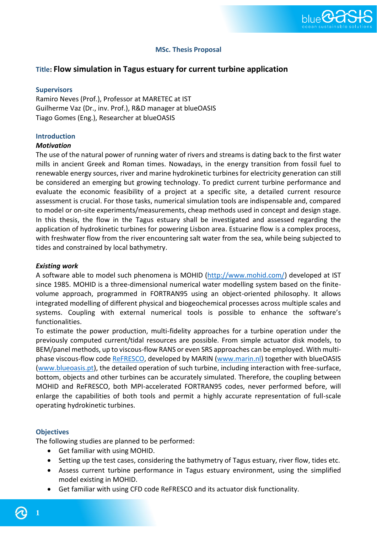

## **MSc. Thesis Proposal**

# **Title: Flow simulation in Tagus estuary for current turbine application**

### **Supervisors**

Ramiro Neves (Prof.), Professor at MARETEC at IST Guilherme Vaz (Dr., inv. Prof.), R&D manager at blueOASIS Tiago Gomes (Eng.), Researcher at blueOASIS

### **Introduction**

#### *Motivation*

The use of the natural power of running water of rivers and streams is dating back to the first water mills in ancient Greek and Roman times. Nowadays, in the energy transition from fossil fuel to renewable energy sources, river and marine hydrokinetic turbines for electricity generation can still be considered an emerging but growing technology. To predict current turbine performance and evaluate the economic feasibility of a project at a specific site, a detailed current resource assessment is crucial. For those tasks, numerical simulation tools are indispensable and, compared to model or on-site experiments/measurements, cheap methods used in concept and design stage. In this thesis, the flow in the Tagus estuary shall be investigated and assessed regarding the application of hydrokinetic turbines for powering Lisbon area. Estuarine flow is a complex process, with freshwater flow from the river encountering salt water from the sea, while being subjected to tides and constrained by local bathymetry.

#### *Existing work*

A software able to model such phenomena is MOHID [\(http://www.mohid.com/\)](http://www.mohid.com/) developed at IST since 1985. MOHID is a three-dimensional numerical water modelling system based on the finitevolume approach, programmed in FORTRAN95 using an object-oriented philosophy. It allows integrated modelling of different physical and biogeochemical processes across multiple scales and systems. Coupling with external numerical tools is possible to enhance the software's functionalities.

To estimate the power production, multi-fidelity approaches for a turbine operation under the previously computed current/tidal resources are possible. From simple actuator disk models, to BEM/panel methods, up to viscous-flow RANS or even SRS approaches can be employed. With multi-phase viscous-flow code [ReFRESCO,](https://www.marin.nl/en/facilities-and-tools/software/refresco) developed by MARIN [\(www.marin.nl\)](http://www.marin.nl/) together with blueOASIS [\(www.blueoasis.pt\)](http://www.blueoasis.pt/), the detailed operation of such turbine, including interaction with free-surface, bottom, objects and other turbines can be accurately simulated. Therefore, the coupling between MOHID and ReFRESCO, both MPI-accelerated FORTRAN95 codes, never performed before, will enlarge the capabilities of both tools and permit a highly accurate representation of full-scale operating hydrokinetic turbines.

#### **Objectives**

The following studies are planned to be performed:

- Get familiar with using MOHID.
- Setting up the test cases, considering the bathymetry of Tagus estuary, river flow, tides etc.
- Assess current turbine performance in Tagus estuary environment, using the simplified model existing in MOHID.
- Get familiar with using CFD code ReFRESCO and its actuator disk functionality.

**1**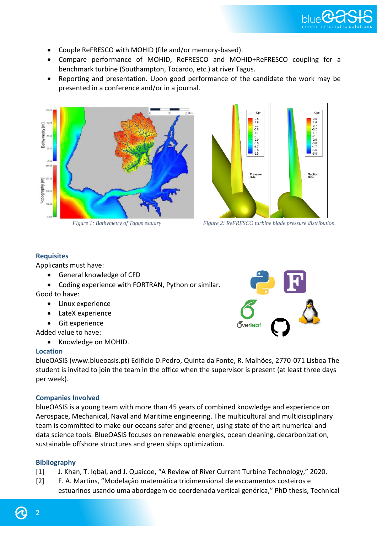

- Couple ReFRESCO with MOHID (file and/or memory-based).
- Compare performance of MOHID, ReFRESCO and MOHID+ReFRESCO coupling for a benchmark turbine (Southampton, Tocardo, etc.) at river Tagus.
- Reporting and presentation. Upon good performance of the candidate the work may be presented in a conference and/or in a journal.





*Figure 1: Bathymetry of Tagus estuary Figure 2: ReFRESCO turbine blade pressure distribution.*

# **Requisites**

Applicants must have:

- General knowledge of CFD
- Coding experience with FORTRAN, Python or similar.

Good to have:

- Linux experience
- LateX experience
- Git experience

Added value to have:

• Knowledge on MOHID.

### **Location**

blueOASIS (www.blueoasis.pt) Edificio D.Pedro, Quinta da Fonte, R. Malhões, 2770-071 Lisboa The student is invited to join the team in the office when the supervisor is present (at least three days per week).

# **Companies Involved**

blueOASIS is a young team with more than 45 years of combined knowledge and experience on Aerospace, Mechanical, Naval and Maritime engineering. The multicultural and multidisciplinary team is committed to make our oceans safer and greener, using state of the art numerical and data science tools. BlueOASIS focuses on renewable energies, ocean cleaning, decarbonization, sustainable offshore structures and green ships optimization.

### **Bibliography**

- [1] J. Khan, T. Iqbal, and J. Quaicoe, "A Review of River Current Turbine Technology," 2020.
- [2] F. A. Martins, "Modelação matemática tridimensional de escoamentos costeiros e estuarinos usando uma abordagem de coordenada vertical genérica," PhD thesis, Technical

**2**